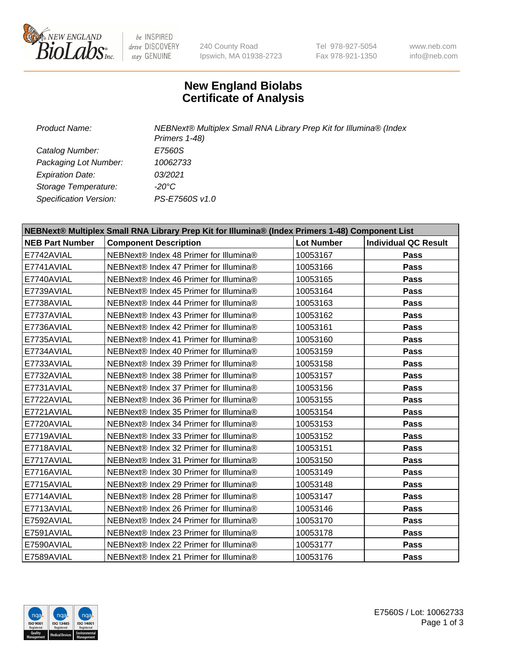

be INSPIRED drive DISCOVERY stay GENUINE

240 County Road Ipswich, MA 01938-2723 Tel 978-927-5054 Fax 978-921-1350

www.neb.com info@neb.com

## **New England Biolabs Certificate of Analysis**

*Product Name: NEBNext® Multiplex Small RNA Library Prep Kit for Illumina® (Index Primers 1-48) Catalog Number: E7560S Packaging Lot Number: 10062733 Expiration Date: 03/2021 Storage Temperature: -20°C Specification Version: PS-E7560S v1.0*

| NEBNext® Multiplex Small RNA Library Prep Kit for Illumina® (Index Primers 1-48) Component List |                                        |                   |                             |  |
|-------------------------------------------------------------------------------------------------|----------------------------------------|-------------------|-----------------------------|--|
| <b>NEB Part Number</b>                                                                          | <b>Component Description</b>           | <b>Lot Number</b> | <b>Individual QC Result</b> |  |
| E7742AVIAL                                                                                      | NEBNext® Index 48 Primer for Illumina® | 10053167          | Pass                        |  |
| E7741AVIAL                                                                                      | NEBNext® Index 47 Primer for Illumina® | 10053166          | <b>Pass</b>                 |  |
| E7740AVIAL                                                                                      | NEBNext® Index 46 Primer for Illumina® | 10053165          | Pass                        |  |
| E7739AVIAL                                                                                      | NEBNext® Index 45 Primer for Illumina® | 10053164          | <b>Pass</b>                 |  |
| E7738AVIAL                                                                                      | NEBNext® Index 44 Primer for Illumina® | 10053163          | <b>Pass</b>                 |  |
| E7737AVIAL                                                                                      | NEBNext® Index 43 Primer for Illumina® | 10053162          | Pass                        |  |
| E7736AVIAL                                                                                      | NEBNext® Index 42 Primer for Illumina® | 10053161          | Pass                        |  |
| E7735AVIAL                                                                                      | NEBNext® Index 41 Primer for Illumina® | 10053160          | Pass                        |  |
| E7734AVIAL                                                                                      | NEBNext® Index 40 Primer for Illumina® | 10053159          | Pass                        |  |
| E7733AVIAL                                                                                      | NEBNext® Index 39 Primer for Illumina® | 10053158          | Pass                        |  |
| E7732AVIAL                                                                                      | NEBNext® Index 38 Primer for Illumina® | 10053157          | <b>Pass</b>                 |  |
| E7731AVIAL                                                                                      | NEBNext® Index 37 Primer for Illumina® | 10053156          | Pass                        |  |
| E7722AVIAL                                                                                      | NEBNext® Index 36 Primer for Illumina® | 10053155          | Pass                        |  |
| E7721AVIAL                                                                                      | NEBNext® Index 35 Primer for Illumina® | 10053154          | <b>Pass</b>                 |  |
| E7720AVIAL                                                                                      | NEBNext® Index 34 Primer for Illumina® | 10053153          | Pass                        |  |
| E7719AVIAL                                                                                      | NEBNext® Index 33 Primer for Illumina® | 10053152          | Pass                        |  |
| E7718AVIAL                                                                                      | NEBNext® Index 32 Primer for Illumina® | 10053151          | <b>Pass</b>                 |  |
| E7717AVIAL                                                                                      | NEBNext® Index 31 Primer for Illumina® | 10053150          | <b>Pass</b>                 |  |
| E7716AVIAL                                                                                      | NEBNext® Index 30 Primer for Illumina® | 10053149          | Pass                        |  |
| E7715AVIAL                                                                                      | NEBNext® Index 29 Primer for Illumina® | 10053148          | <b>Pass</b>                 |  |
| E7714AVIAL                                                                                      | NEBNext® Index 28 Primer for Illumina® | 10053147          | Pass                        |  |
| E7713AVIAL                                                                                      | NEBNext® Index 26 Primer for Illumina® | 10053146          | Pass                        |  |
| E7592AVIAL                                                                                      | NEBNext® Index 24 Primer for Illumina® | 10053170          | <b>Pass</b>                 |  |
| E7591AVIAL                                                                                      | NEBNext® Index 23 Primer for Illumina® | 10053178          | <b>Pass</b>                 |  |
| E7590AVIAL                                                                                      | NEBNext® Index 22 Primer for Illumina® | 10053177          | <b>Pass</b>                 |  |
| E7589AVIAL                                                                                      | NEBNext® Index 21 Primer for Illumina® | 10053176          | <b>Pass</b>                 |  |

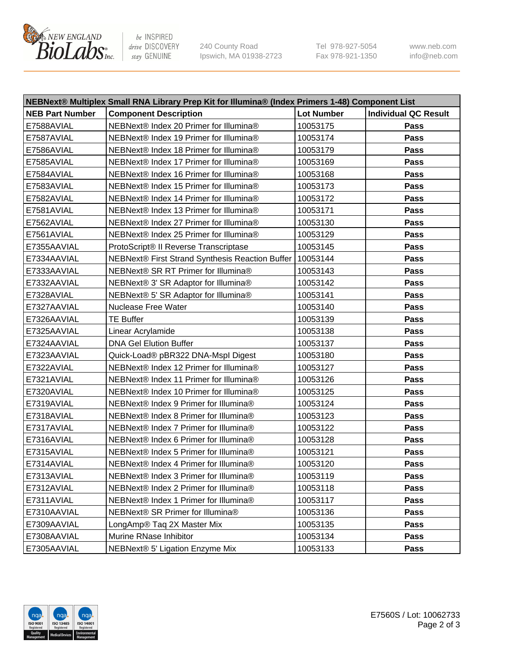

be INSPIRED drive DISCOVERY stay GENUINE

240 County Road Ipswich, MA 01938-2723 Tel 978-927-5054 Fax 978-921-1350 www.neb.com info@neb.com

| NEBNext® Multiplex Small RNA Library Prep Kit for Illumina® (Index Primers 1-48) Component List |                                                            |                   |                             |  |
|-------------------------------------------------------------------------------------------------|------------------------------------------------------------|-------------------|-----------------------------|--|
| <b>NEB Part Number</b>                                                                          | <b>Component Description</b>                               | <b>Lot Number</b> | <b>Individual QC Result</b> |  |
| E7588AVIAL                                                                                      | NEBNext® Index 20 Primer for Illumina®                     | 10053175          | Pass                        |  |
| E7587AVIAL                                                                                      | NEBNext® Index 19 Primer for Illumina®                     | 10053174          | Pass                        |  |
| E7586AVIAL                                                                                      | NEBNext® Index 18 Primer for Illumina®                     | 10053179          | Pass                        |  |
| E7585AVIAL                                                                                      | NEBNext® Index 17 Primer for Illumina®                     | 10053169          | Pass                        |  |
| E7584AVIAL                                                                                      | NEBNext® Index 16 Primer for Illumina®                     | 10053168          | Pass                        |  |
| E7583AVIAL                                                                                      | NEBNext® Index 15 Primer for Illumina®                     | 10053173          | Pass                        |  |
| E7582AVIAL                                                                                      | NEBNext® Index 14 Primer for Illumina®                     | 10053172          | Pass                        |  |
| E7581AVIAL                                                                                      | NEBNext® Index 13 Primer for Illumina®                     | 10053171          | Pass                        |  |
| E7562AVIAL                                                                                      | NEBNext® Index 27 Primer for Illumina®                     | 10053130          | Pass                        |  |
| E7561AVIAL                                                                                      | NEBNext® Index 25 Primer for Illumina®                     | 10053129          | Pass                        |  |
| E7355AAVIAL                                                                                     | ProtoScript® II Reverse Transcriptase                      | 10053145          | Pass                        |  |
| E7334AAVIAL                                                                                     | NEBNext® First Strand Synthesis Reaction Buffer   10053144 |                   | Pass                        |  |
| E7333AAVIAL                                                                                     | NEBNext® SR RT Primer for Illumina®                        | 10053143          | Pass                        |  |
| E7332AAVIAL                                                                                     | NEBNext® 3' SR Adaptor for Illumina®                       | 10053142          | Pass                        |  |
| E7328AVIAL                                                                                      | NEBNext® 5' SR Adaptor for Illumina®                       | 10053141          | Pass                        |  |
| E7327AAVIAL                                                                                     | <b>Nuclease Free Water</b>                                 | 10053140          | Pass                        |  |
| E7326AAVIAL                                                                                     | <b>TE Buffer</b>                                           | 10053139          | Pass                        |  |
| E7325AAVIAL                                                                                     | Linear Acrylamide                                          | 10053138          | Pass                        |  |
| E7324AAVIAL                                                                                     | <b>DNA Gel Elution Buffer</b>                              | 10053137          | Pass                        |  |
| E7323AAVIAL                                                                                     | Quick-Load® pBR322 DNA-Mspl Digest                         | 10053180          | Pass                        |  |
| E7322AVIAL                                                                                      | NEBNext® Index 12 Primer for Illumina®                     | 10053127          | Pass                        |  |
| E7321AVIAL                                                                                      | NEBNext® Index 11 Primer for Illumina®                     | 10053126          | Pass                        |  |
| E7320AVIAL                                                                                      | NEBNext® Index 10 Primer for Illumina®                     | 10053125          | Pass                        |  |
| E7319AVIAL                                                                                      | NEBNext® Index 9 Primer for Illumina®                      | 10053124          | Pass                        |  |
| E7318AVIAL                                                                                      | NEBNext® Index 8 Primer for Illumina®                      | 10053123          | Pass                        |  |
| E7317AVIAL                                                                                      | NEBNext® Index 7 Primer for Illumina®                      | 10053122          | Pass                        |  |
| E7316AVIAL                                                                                      | NEBNext® Index 6 Primer for Illumina®                      | 10053128          | Pass                        |  |
| E7315AVIAL                                                                                      | NEBNext® Index 5 Primer for Illumina®                      | 10053121          | Pass                        |  |
| E7314AVIAL                                                                                      | NEBNext® Index 4 Primer for Illumina®                      | 10053120          | Pass                        |  |
| E7313AVIAL                                                                                      | NEBNext® Index 3 Primer for Illumina®                      | 10053119          | Pass                        |  |
| E7312AVIAL                                                                                      | NEBNext® Index 2 Primer for Illumina®                      | 10053118          | Pass                        |  |
| E7311AVIAL                                                                                      | NEBNext® Index 1 Primer for Illumina®                      | 10053117          | Pass                        |  |
| E7310AAVIAL                                                                                     | NEBNext® SR Primer for Illumina®                           | 10053136          | Pass                        |  |
| E7309AAVIAL                                                                                     | LongAmp® Taq 2X Master Mix                                 | 10053135          | Pass                        |  |
| E7308AAVIAL                                                                                     | Murine RNase Inhibitor                                     | 10053134          | Pass                        |  |
| E7305AAVIAL                                                                                     | NEBNext® 5' Ligation Enzyme Mix                            | 10053133          | Pass                        |  |